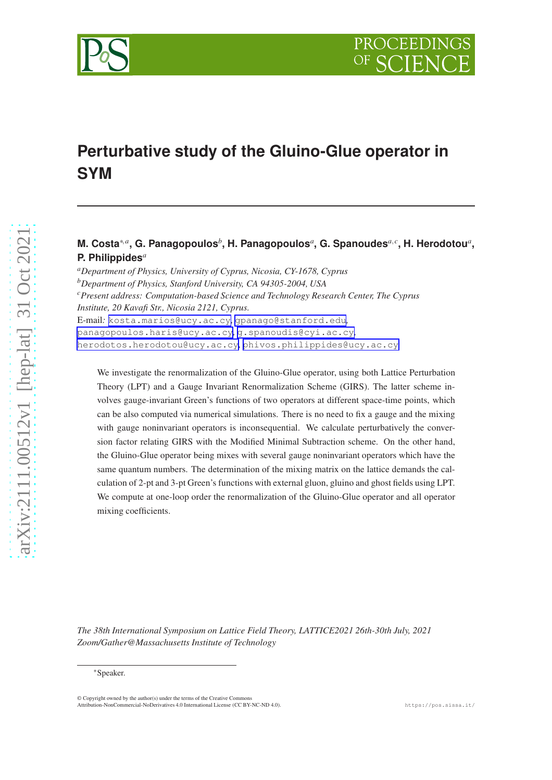



# **Perturbative study of the Gluino-Glue operator in SYM**

**M.** Costa $^{*,a}$ , G. Panagopoulos $^b$ , H. Panagopoulos $^a$ , G. Spanoudes $^{a,c}$ , H. Herodotou $^a$ , **P. Philippides***<sup>a</sup>*

*<sup>a</sup>Department of Physics, University of Cyprus, Nicosia, CY-1678, Cyprus <sup>b</sup>Department of Physics, Stanford University, CA 94305-2004, USA <sup>c</sup>Present address: Computation-based Science and Technology Research Center, The Cyprus Institute, 20 Kavafi Str., Nicosia 2121, Cyprus.* E-mail*:* [kosta.marios@ucy.ac.cy](mailto:kosta.marios@ucy.ac.cy)*,* [gpanago@stanford.edu](mailto:gpanago@stanford.edu)*,* [panagopoulos.haris@ucy.ac.cy](mailto:panagopoulos.haris@ucy.ac.cy)*,* [g.spanoudis@cyi.ac.cy](mailto:g.spanoudis@cyi.ac.cy)*,* [herodotos.herodotou@ucy.ac.cy](mailto:herodotos.herodotou@ucy.ac.cy)*,* [phivos.philippides@ucy.ac.cy](mailto:phivos.philippides@ucy.ac.cy)

We investigate the renormalization of the Gluino-Glue operator, using both Lattice Perturbation Theory (LPT) and a Gauge Invariant Renormalization Scheme (GIRS). The latter scheme involves gauge-invariant Green's functions of two operators at different space-time points, which can be also computed via numerical simulations. There is no need to fix a gauge and the mixing with gauge noninvariant operators is inconsequential. We calculate perturbatively the conversion factor relating GIRS with the Modified Minimal Subtraction scheme. On the other hand, the Gluino-Glue operator being mixes with several gauge noninvariant operators which have the same quantum numbers. The determination of the mixing matrix on the lattice demands the calculation of 2-pt and 3-pt Green's functions with external gluon, gluino and ghost fields using LPT. We compute at one-loop order the renormalization of the Gluino-Glue operator and all operator mixing coefficients.

*The 38th International Symposium on Lattice Field Theory, LATTICE2021 26th-30th July, 2021 Zoom/Gather@Massachusetts Institute of Technology*

<sup>\*</sup>Speaker.

<sup>©</sup> Copyright owned by the author(s) under the terms of the Creative Commons Attribution-NonCommercial-NoDerivatives 4.0 International License (CC BY-NC-ND 4.0). https://pos.sissa.it/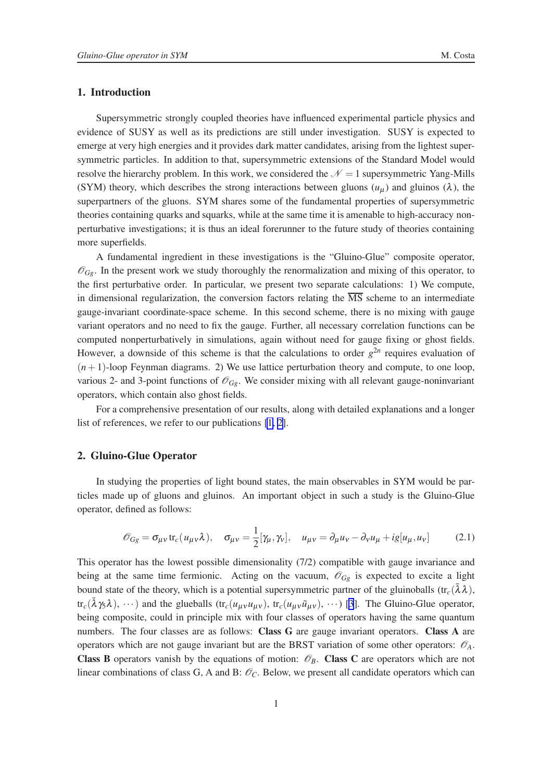## <span id="page-1-0"></span>1. Introduction

Supersymmetric strongly coupled theories have influenced experimental particle physics and evidence of SUSY as well as its predictions are still under investigation. SUSY is expected to emerge at very high energies and it provides dark matter candidates, arising from the lightest supersymmetric particles. In addition to that, supersymmetric extensions of the Standard Model would resolve the hierarchy problem. In this work, we considered the  $\mathcal{N} = 1$  supersymmetric Yang-Mills (SYM) theory, which describes the strong interactions between gluons  $(u<sub>u</sub>)$  and gluinos ( $\lambda$ ), the superpartners of the gluons. SYM shares some of the fundamental properties of supersymmetric theories containing quarks and squarks, while at the same time it is amenable to high-accuracy nonperturbative investigations; it is thus an ideal forerunner to the future study of theories containing more superfields.

A fundamental ingredient in these investigations is the "Gluino-Glue" composite operator,  $\mathcal{O}_{Gg}$ . In the present work we study thoroughly the renormalization and mixing of this operator, to the first perturbative order. In particular, we present two separate calculations: 1) We compute, in dimensional regularization, the conversion factors relating the  $\overline{\text{MS}}$  scheme to an intermediate gauge-invariant coordinate-space scheme. In this second scheme, there is no mixing with gauge variant operators and no need to fix the gauge. Further, all necessary correlation functions can be computed nonperturbatively in simulations, again without need for gauge fixing or ghost fields. However, a downside of this scheme is that the calculations to order  $g^{2n}$  requires evaluation of  $(n+1)$ -loop Feynman diagrams. 2) We use lattice perturbation theory and compute, to one loop, various 2- and 3-point functions of  $\mathcal{O}_{Ge}$ . We consider mixing with all relevant gauge-noninvariant operators, which contain also ghost fields.

For a comprehensive presentation of our results, along with detailed explanations and a longer list of references, we refer to our publications [\[1, 2\]](#page-7-0).

## 2. Gluino-Glue Operator

In studying the properties of light bound states, the main observables in SYM would be particles made up of gluons and gluinos. An important object in such a study is the Gluino-Glue operator, defined as follows:

$$
\mathcal{O}_{Gg} = \sigma_{\mu\nu} \text{tr}_c(u_{\mu\nu}\lambda), \quad \sigma_{\mu\nu} = \frac{1}{2} [\gamma_\mu, \gamma_\nu], \quad u_{\mu\nu} = \partial_\mu u_\nu - \partial_\nu u_\mu + ig[u_\mu, u_\nu]
$$
(2.1)

This operator has the lowest possible dimensionality (7/2) compatible with gauge invariance and being at the same time fermionic. Acting on the vacuum,  $\mathscr{O}_{Gg}$  is expected to excite a light bound state of the theory, which is a potential supersymmetric partner of the gluinoballs (tr<sub>c</sub>( $\bar{\lambda}\lambda$ ),  $tr_c(\bar{\lambda}\gamma_5\lambda), \dots$ ) and the glueballs  $(tr_c(u_{\mu\nu}u_{\mu\nu}), tr_c(u_{\mu\nu}\tilde{u}_{\mu\nu}), \dots)$  [\[3](#page-7-0)]. The Gluino-Glue operator, being composite, could in principle mix with four classes of operators having the same quantum numbers. The four classes are as follows: Class G are gauge invariant operators. Class A are operators which are not gauge invariant but are the BRST variation of some other operators:  $\mathcal{O}_A$ . **Class B** operators vanish by the equations of motion:  $\mathcal{O}_B$ . **Class C** are operators which are not linear combinations of class G, A and B:  $\mathcal{O}_C$ . Below, we present all candidate operators which can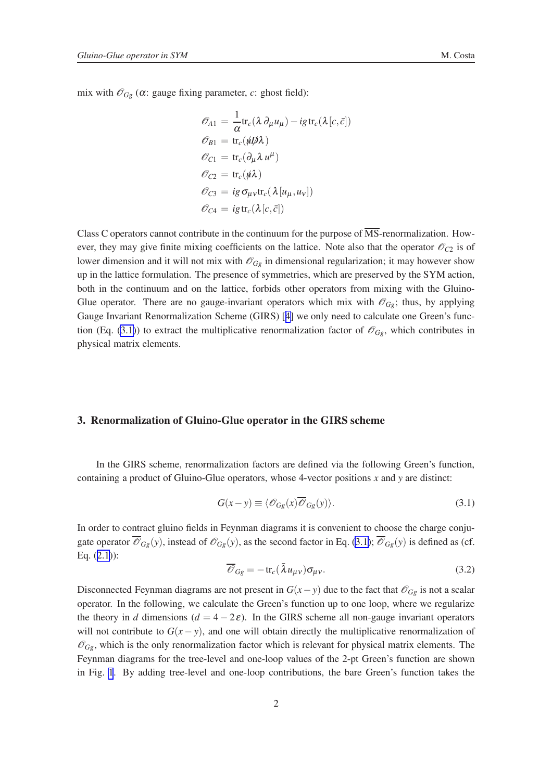<span id="page-2-0"></span>mix with  $\mathcal{O}_{Gg}$  ( $\alpha$ : gauge fixing parameter,  $c$ : ghost field):

$$
\begin{aligned}\n\mathcal{O}_{A1} &= \frac{1}{\alpha} \text{tr}_c(\lambda \partial_\mu u_\mu) - ig \text{tr}_c(\lambda [c, \bar{c}]) \\
\mathcal{O}_{B1} &= \text{tr}_c(\psi \mathcal{D} \lambda) \\
\mathcal{O}_{C1} &= \text{tr}_c(\partial_\mu \lambda u^\mu) \\
\mathcal{O}_{C2} &= \text{tr}_c(\psi \lambda) \\
\mathcal{O}_{C3} &= ig \sigma_{\mu\nu} \text{tr}_c(\lambda [u_\mu, u_\nu]) \\
\mathcal{O}_{C4} &= ig \text{tr}_c(\lambda [c, \bar{c}])\n\end{aligned}
$$

Class C operators cannot contribute in the continuum for the purpose of  $\overline{\text{MS}}$ -renormalization. However, they may give finite mixing coefficients on the lattice. Note also that the operator  $\mathcal{O}_{C2}$  is of lower dimension and it will not mix with  $\mathcal{O}_{Gg}$  in dimensional regularization; it may however show up in the lattice formulation. The presence of symmetries, which are preserved by the SYM action, both in the continuum and on the lattice, forbids other operators from mixing with the Gluino-Glue operator. There are no gauge-invariant operators which mix with  $\mathcal{O}_{G\rho}$ ; thus, by applying Gauge Invariant Renormalization Scheme (GIRS) [[4](#page-7-0)] we only need to calculate one Green's function (Eq. (3.1)) to extract the multiplicative renormalization factor of  $\mathcal{O}_{G\rho}$ , which contributes in physical matrix elements.

#### 3. Renormalization of Gluino-Glue operator in the GIRS scheme

In the GIRS scheme, renormalization factors are defined via the following Green's function, containing a product of Gluino-Glue operators, whose 4-vector positions *x* and *y* are distinct:

$$
G(x - y) \equiv \langle \mathcal{O}_{Gg}(x) \overline{\mathcal{O}}_{Gg}(y) \rangle.
$$
 (3.1)

In order to contract gluino fields in Feynman diagrams it is convenient to choose the charge conjugate operator  $\overline{\mathcal{O}}_{Gg}(y)$ , instead of  $\mathcal{O}_{Gg}(y)$ , as the second factor in Eq. (3.1);  $\overline{\mathcal{O}}_{Gg}(y)$  is defined as (cf. Eq. ([2.1](#page-1-0))):

$$
\overline{\mathscr{O}}_{Gg} = -\operatorname{tr}_{c}(\bar{\lambda}u_{\mu\nu})\sigma_{\mu\nu}.
$$
\n(3.2)

Disconnected Feynman diagrams are not present in  $G(x - y)$  due to the fact that  $\mathcal{O}_{Gg}$  is not a scalar operator. In the following, we calculate the Green's function up to one loop, where we regularize the theory in *d* dimensions  $(d = 4 - 2\varepsilon)$ . In the GIRS scheme all non-gauge invariant operators will not contribute to  $G(x - y)$ , and one will obtain directly the multiplicative renormalization of  $\mathcal{O}_{Gg}$ , which is the only renormalization factor which is relevant for physical matrix elements. The Feynman diagrams for the tree-level and one-loop values of the 2-pt Green's function are shown in Fig. [1](#page-3-0). By adding tree-level and one-loop contributions, the bare Green's function takes the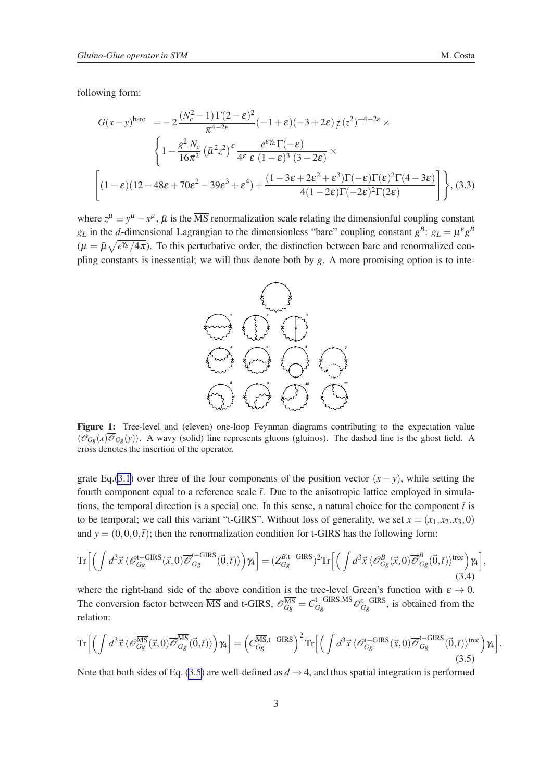<span id="page-3-0"></span>following form:

$$
G(x-y)^{\text{bare}} = -2 \frac{(N_c^2 - 1)\Gamma(2-\varepsilon)^2}{\pi^{4-2\varepsilon}} (-1+\varepsilon)(-3+2\varepsilon) \frac{1}{\varepsilon} (\varepsilon^2)^{-4+2\varepsilon} \times \left\{ 1 - \frac{g^2 N_c}{16\pi^2} (\bar{\mu}^2 z^2)^{\varepsilon} \frac{e^{\varepsilon \gamma_E} \Gamma(-\varepsilon)}{4\varepsilon \varepsilon (1-\varepsilon)^3 (3-2\varepsilon)} \times \left[ (1-\varepsilon)(12-48\varepsilon+70\varepsilon^2-39\varepsilon^3+\varepsilon^4) + \frac{(1-3\varepsilon+2\varepsilon^2+\varepsilon^3)\Gamma(-\varepsilon)\Gamma(\varepsilon)^2 \Gamma(4-3\varepsilon)}{4(1-2\varepsilon)\Gamma(-2\varepsilon)^2 \Gamma(2\varepsilon)} \right] \right\}, (3.3)
$$

where  $z^{\mu} \equiv y^{\mu} - x^{\mu}$ ,  $\bar{\mu}$  is the  $\overline{\text{MS}}$  renormalization scale relating the dimensionful coupling constant *g*<sub>L</sub> in the *d*-dimensional Lagrangian to the dimensionless "bare" coupling constant  $g^B$ :  $g_L = \mu^g g^B$  $(\mu = \bar{\mu}\sqrt{e^{\gamma_E}/4\pi})$ . To this perturbative order, the distinction between bare and renormalized coupling constants is inessential; we will thus denote both by *g*. A more promising option is to inte-



Figure 1: Tree-level and (eleven) one-loop Feynman diagrams contributing to the expectation value  $\langle \mathcal{O}_{Gg}(x) \overline{\mathcal{O}}_{Gg}(y) \rangle$ . A wavy (solid) line represents gluons (gluinos). The dashed line is the ghost field. A cross denotes the insertion of the operator.

grate Eq.[\(3.1\)](#page-2-0) over three of the four components of the position vector  $(x - y)$ , while setting the fourth component equal to a reference scale  $\bar{t}$ . Due to the anisotropic lattice employed in simulations, the temporal direction is a special one. In this sense, a natural choice for the component  $\bar{t}$  is to be temporal; we call this variant "t-GIRS". Without loss of generality, we set  $x = (x_1, x_2, x_3, 0)$ and  $y = (0,0,0,\bar{t})$ ; then the renormalization condition for t-GIRS has the following form:

$$
\operatorname{Tr}\Big[\Big(\int d^3\vec{x}\,\langle\mathscr{O}_{Gg}^{\mathsf{t-GIRS}}(\vec{x},0)\overline{\mathscr{O}}_{Gg}^{\mathsf{t-GIRS}}(\vec{0},\vec{t})\rangle\Big)\gamma_4\Big] = (Z_{Gg}^{\mathsf{B},\mathsf{t-GIRS}})^2 \operatorname{Tr}\Big[\Big(\int d^3\vec{x}\,\langle\mathscr{O}_{Gg}^{\mathsf{B}}(\vec{x},0)\overline{\mathscr{O}}_{Gg}^{\mathsf{B}}(\vec{0},\vec{t})\rangle^{\text{tree}}\Big)\gamma_4\Big],\tag{3.4}
$$

where the right-hand side of the above condition is the tree-level Green's function with  $\varepsilon \to 0$ . The conversion factor between  $\overline{\text{MS}}$  and t-GIRS,  $\mathscr{O}_{Gg}^{\overline{\text{MS}}} = C_{Gg}^{\text{t-GIRS},\overline{\text{MS}}} \mathscr{O}_{Gg}^{\text{t-GIRS}}$ , is obtained from the relation:

$$
\operatorname{Tr}\Big[\Big(\int d^3\vec{x}\,\langle\mathscr{O}_{Gg}^{\overline{\text{MS}}}(\vec{x},0)\overline{\mathscr{O}}_{Gg}^{\overline{\text{MS}}}(\vec{0},\vec{t})\rangle\Big)\gamma_4\Big] = \Big(C_{Gg}^{\overline{\text{MS}},t-\text{GIRS}}\Big)^2 \operatorname{Tr}\Big[\Big(\int d^3\vec{x}\,\langle\mathscr{O}_{Gg}^{t-\text{GIRS}}(\vec{x},0)\overline{\mathscr{O}}_{Gg}^{t-\text{GIRS}}(\vec{0},\vec{t})\rangle^{\text{tree}}\Big)\gamma_4\Big].\tag{3.5}
$$

Note that both sides of Eq. (3.5) are well-defined as  $d \rightarrow 4$ , and thus spatial integration is performed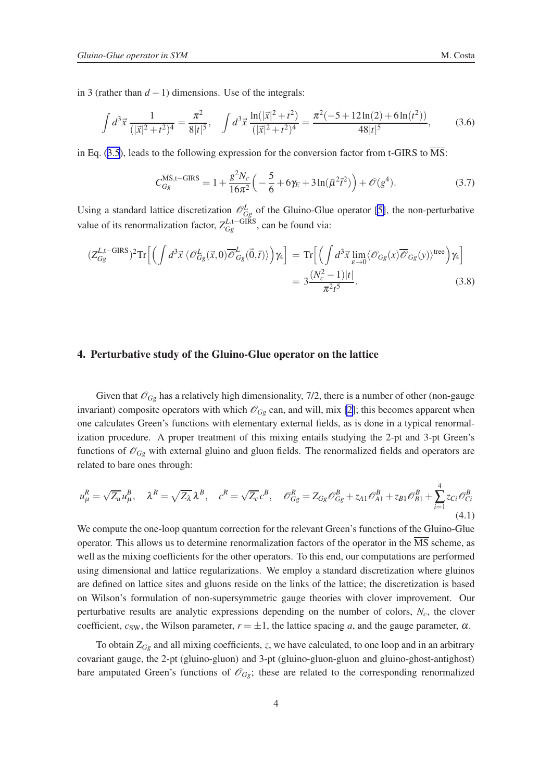in 3 (rather than  $d - 1$ ) dimensions. Use of the integrals:

$$
\int d^3 \vec{x} \, \frac{1}{(|\vec{x}|^2 + t^2)^4} = \frac{\pi^2}{8|t|^5}, \quad \int d^3 \vec{x} \, \frac{\ln(|\vec{x}|^2 + t^2)}{(|\vec{x}|^2 + t^2)^4} = \frac{\pi^2(-5 + 12\ln(2) + 6\ln(t^2))}{48|t|^5},\tag{3.6}
$$

in Eq. ([3.5](#page-3-0)), leads to the following expression for the conversion factor from t-GIRS to  $\overline{\text{MS}}$ :

$$
C_{Gg}^{\overline{\text{MS}},t-\text{GIRS}} = 1 + \frac{g^2 N_c}{16\pi^2} \left( -\frac{5}{6} + 6\gamma_E + 3\ln(\bar{\mu}^2 \bar{t}^2) \right) + \mathcal{O}(g^4). \tag{3.7}
$$

Using a standard lattice discretization  $\mathcal{O}_{Gg}^L$  of the Gluino-Glue operator [\[5\]](#page-7-0), the non-perturbative value of its renormalization factor,  $Z_{Gg}^{L,\text{t}-\text{GIRS}}$ , can be found via:

$$
(Z_{Gg}^{L,\text{t-GIRS}})^2 \text{Tr} \Big[ \Big( \int d^3 \vec{x} \, \langle \mathcal{O}_{Gg}^L(\vec{x},0) \overline{\mathcal{O}}_{Gg}^L(\vec{0},\vec{t}) \rangle \Big) \gamma_4 \Big] = \text{Tr} \Big[ \Big( \int d^3 \vec{x} \lim_{\varepsilon \to 0} \langle \mathcal{O}_{Gg}(x) \overline{\mathcal{O}}_{Gg}(y) \rangle^{\text{tree}} \Big) \gamma_4 \Big] = 3 \frac{(N_c^2 - 1)|t|}{\pi^2 t^5}.
$$
 (3.8)

#### 4. Perturbative study of the Gluino-Glue operator on the lattice

Given that  $\mathcal{O}_{Gg}$  has a relatively high dimensionality, 7/2, there is a number of other (non-gauge invariant) composite operators with which  $\mathcal{O}_{Gg}$  can, and will, mix [\[2\]](#page-7-0); this becomes apparent when one calculates Green's functions with elementary external fields, as is done in a typical renormalization procedure. A proper treatment of this mixing entails studying the 2-pt and 3-pt Green's functions of  $\mathcal{O}_{Gg}$  with external gluino and gluon fields. The renormalized fields and operators are related to bare ones through:

$$
u_{\mu}^{R} = \sqrt{Z_{u}} u_{\mu}^{B}, \quad \lambda^{R} = \sqrt{Z_{\lambda}} \lambda^{B}, \quad c^{R} = \sqrt{Z_{c}} c^{B}, \quad \mathcal{O}_{Gg}^{R} = Z_{Gg} \mathcal{O}_{Gg}^{B} + z_{A1} \mathcal{O}_{A1}^{B} + z_{B1} \mathcal{O}_{B1}^{B} + \sum_{i=1}^{4} z_{Ci} \mathcal{O}_{Ci}^{B}
$$
\n(4.1)

We compute the one-loop quantum correction for the relevant Green's functions of the Gluino-Glue operator. This allows us to determine renormalization factors of the operator in the  $\overline{\text{MS}}$  scheme, as well as the mixing coefficients for the other operators. To this end, our computations are performed using dimensional and lattice regularizations. We employ a standard discretization where gluinos are defined on lattice sites and gluons reside on the links of the lattice; the discretization is based on Wilson's formulation of non-supersymmetric gauge theories with clover improvement. Our perturbative results are analytic expressions depending on the number of colors, *Nc*, the clover coefficient,  $c_{SW}$ , the Wilson parameter,  $r = \pm 1$ , the lattice spacing *a*, and the gauge parameter,  $\alpha$ .

To obtain *ZGg* and all mixing coefficients, *z*, we have calculated, to one loop and in an arbitrary covariant gauge, the 2-pt (gluino-gluon) and 3-pt (gluino-gluon-gluon and gluino-ghost-antighost) bare amputated Green's functions of  $\mathcal{O}_{Gg}$ ; these are related to the corresponding renormalized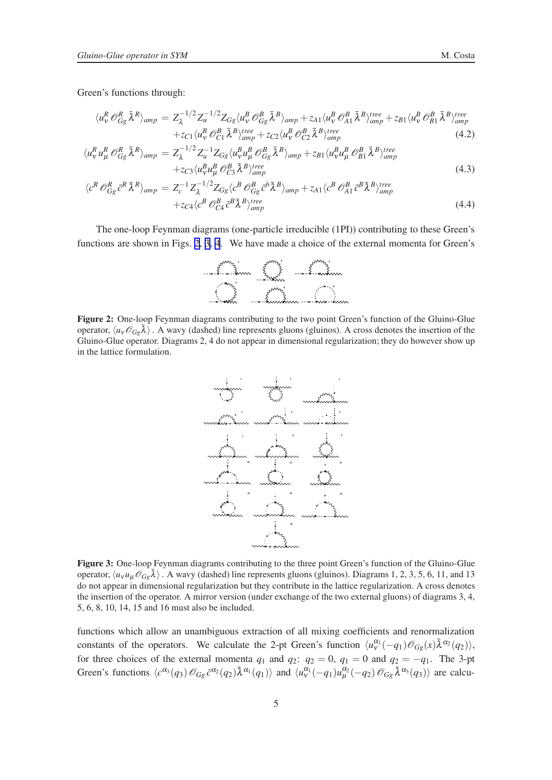<span id="page-5-0"></span>
$$
\langle u_{\nu}^{R} \mathcal{O}_{Gg}^{R} \bar{\lambda}^{R} \rangle_{amp} = Z_{\lambda}^{-1/2} Z_{\mu}^{-1/2} Z_{Gg} \langle u_{\nu}^{B} \mathcal{O}_{Gg}^{B} \bar{\lambda}^{B} \rangle_{amp} + z_{A1} \langle u_{\nu}^{B} \mathcal{O}_{A1}^{B} \bar{\lambda}^{B} \rangle_{amp}^{tree} + z_{B1} \langle u_{\nu}^{B} \mathcal{O}_{B1}^{B} \bar{\lambda}^{B} \rangle_{amp}^{tree} + z_{C1} \langle u_{\nu}^{B} \mathcal{O}_{C1}^{B} \bar{\lambda}^{B} \rangle_{amp}^{tree} + z_{C2} \langle u_{\nu}^{B} \mathcal{O}_{C2}^{B} \bar{\lambda}^{B} \rangle_{amp}^{tree}
$$
(4.2)

$$
\langle u_{\nu}^{R} u_{\mu}^{R} \mathcal{O}_{Gg}^{R} \bar{\lambda}^{R} \rangle_{amp} = Z_{\lambda}^{-1/2} Z_{u}^{-1} Z_{Gg} \langle u_{\nu}^{B} u_{\mu}^{B} \mathcal{O}_{Gg}^{B} \bar{\lambda}^{B} \rangle_{amp} + z_{B1} \langle u_{\nu}^{B} u_{\mu}^{B} \mathcal{O}_{B1}^{B} \bar{\lambda}^{B} \rangle_{amp}^{tree} + z_{C3} \langle u_{\nu}^{B} u_{\mu}^{B} \mathcal{O}_{G3}^{B} \bar{\lambda}^{B} \rangle_{amp}^{tree}
$$
\n(4.3)

$$
\langle c^R \mathcal{O}_{Gg}^R \bar{c}^R \bar{\lambda}^R \rangle_{amp} = Z_c^{-1} Z_\lambda^{-1/2} Z_{Gg} \langle c^B \mathcal{O}_{Gg}^B \bar{c}^b \bar{\lambda}^B \rangle_{amp} + z_{A1} \langle c^B \mathcal{O}_{A1}^B \bar{c}^B \bar{\lambda}^B \rangle_{amp}^{tree} + z_{C4} \langle c^B \mathcal{O}_{C4}^B \bar{c}^B \bar{\lambda}^B \rangle_{amp}^{tree}
$$
(4.4)

The one-loop Feynman diagrams (one-particle irreducible (1PI)) contributing to these Green's functions are shown in Figs. 2, 3, [4](#page-6-0). We have made a choice of the external momenta for Green's



Figure 2: One-loop Feynman diagrams contributing to the two point Green's function of the Gluino-Glue operator,  $\langle u_v \mathcal{O}_{Gg} \bar{\lambda} \rangle$ . A wavy (dashed) line represents gluons (gluinos). A cross denotes the insertion of the Gluino-Glue operator. Diagrams 2, 4 do not appear in dimensional regularization; they do however show up in the lattice formulation.



Figure 3: One-loop Feynman diagrams contributing to the three point Green's function of the Gluino-Glue operator,  $\langle u_V u_\mu \mathcal{O}_{Gg} \bar{\lambda} \rangle$ . A wavy (dashed) line represents gluons (gluinos). Diagrams 1, 2, 3, 5, 6, 11, and 13 do not appear in dimensional regularization but they contribute in the lattice regularization. A cross denotes the insertion of the operator. A mirror version (under exchange of the two external gluons) of diagrams 3, 4, 5, 6, 8, 10, 14, 15 and 16 must also be included.

functions which allow an unambiguous extraction of all mixing coefficients and renormalization constants of the operators. We calculate the 2-pt Green's function  $\langle u_{\nu}^{\alpha_1}(-q_1)\mathcal{O}_{Gg}(x)\bar{\lambda}^{\alpha_2}(q_2)\rangle$ , for three choices of the external momenta  $q_1$  and  $q_2$ :  $q_2 = 0$ ,  $q_1 = 0$  and  $q_2 = -q_1$ . The 3-pt Green's functions  $\langle c^{\alpha_3}(q_3) \mathcal{O}_{Gg} \bar{c}^{\alpha_2}(q_2) \bar{\lambda}^{\alpha_1}(q_1) \rangle$  and  $\langle u^{\alpha_1}_{\nu}(-q_1) u^{\alpha_2}_{\mu}(-q_2) \mathcal{O}_{Gg} \bar{\lambda}^{\alpha_3}(q_3) \rangle$  are calcu-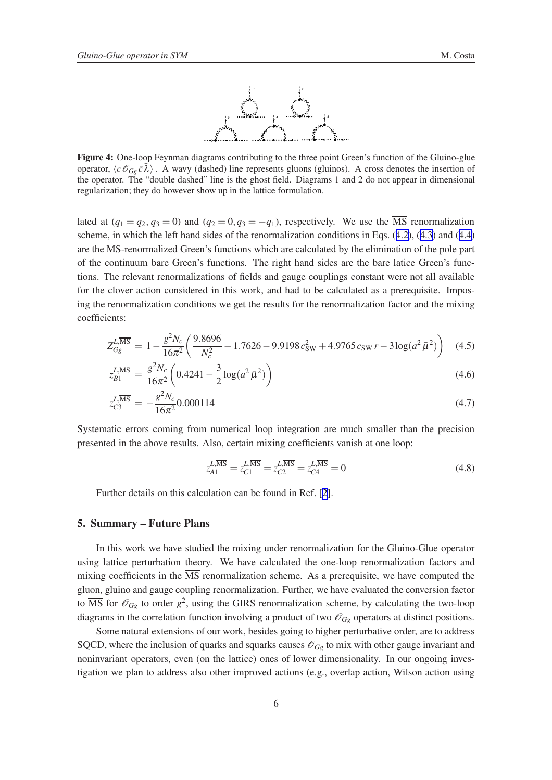

<span id="page-6-0"></span>Figure 4: One-loop Feynman diagrams contributing to the three point Green's function of the Gluino-glue operator,  $\langle c \mathcal{O}_{Gg} \bar{c} \bar{\lambda} \rangle$ . A wavy (dashed) line represents gluons (gluinos). A cross denotes the insertion of the operator. The "double dashed" line is the ghost field. Diagrams 1 and 2 do not appear in dimensional regularization; they do however show up in the lattice formulation.

lated at  $(q_1 = q_2, q_3 = 0)$  and  $(q_2 = 0, q_3 = -q_1)$ , respectively. We use the  $\overline{\text{MS}}$  renormalization scheme, in which the left hand sides of the renormalization conditions in Eqs. ([4.2](#page-5-0)), ([4.3](#page-5-0)) and ([4.4](#page-5-0)) are the  $\overline{\text{MS}}$ -renormalized Green's functions which are calculated by the elimination of the pole part of the continuum bare Green's functions. The right hand sides are the bare latice Green's functions. The relevant renormalizations of fields and gauge couplings constant were not all available for the clover action considered in this work, and had to be calculated as a prerequisite. Imposing the renormalization conditions we get the results for the renormalization factor and the mixing coefficients:

$$
Z_{Gg}^{L,\overline{\rm MS}} = 1 - \frac{g^2 N_c}{16\pi^2} \left( \frac{9.8696}{N_c^2} - 1.7626 - 9.9198 c_{\rm SW}^2 + 4.9765 c_{\rm SW} r - 3 \log(a^2 \bar{\mu}^2) \right) \tag{4.5}
$$

$$
z_{B1}^{L,\overline{\text{MS}}} = \frac{g^2 N_c}{16\pi^2} \left( 0.4241 - \frac{3}{2} \log(a^2 \bar{\mu}^2) \right) \tag{4.6}
$$

$$
z_{C3}^{L,\overline{\text{MS}}} = -\frac{g^2 N_c}{16\pi^2} 0.000114
$$
\n(4.7)

Systematic errors coming from numerical loop integration are much smaller than the precision presented in the above results. Also, certain mixing coefficients vanish at one loop:

$$
z_{A1}^{\overline{L,\overline{\rm MS}}} = z_{C1}^{\overline{L,\overline{\rm MS}}} = z_{C2}^{\overline{L,\overline{\rm MS}}} = z_{C4}^{\overline{L,\overline{\rm MS}}} = 0
$$
\n(4.8)

Further details on this calculation can be found in Ref. [[2](#page-7-0)].

## 5. Summary – Future Plans

In this work we have studied the mixing under renormalization for the Gluino-Glue operator using lattice perturbation theory. We have calculated the one-loop renormalization factors and mixing coefficients in the  $\overline{\text{MS}}$  renormalization scheme. As a prerequisite, we have computed the gluon, gluino and gauge coupling renormalization. Further, we have evaluated the conversion factor to  $\overline{\text{MS}}$  for  $\mathscr{O}_{Gg}$  to order  $g^2$ , using the GIRS renormalization scheme, by calculating the two-loop diagrams in the correlation function involving a product of two  $\mathcal{O}_{Gg}$  operators at distinct positions.

Some natural extensions of our work, besides going to higher perturbative order, are to address SQCD, where the inclusion of quarks and squarks causes  $\mathscr{O}_{Gg}$  to mix with other gauge invariant and noninvariant operators, even (on the lattice) ones of lower dimensionality. In our ongoing investigation we plan to address also other improved actions (e.g., overlap action, Wilson action using